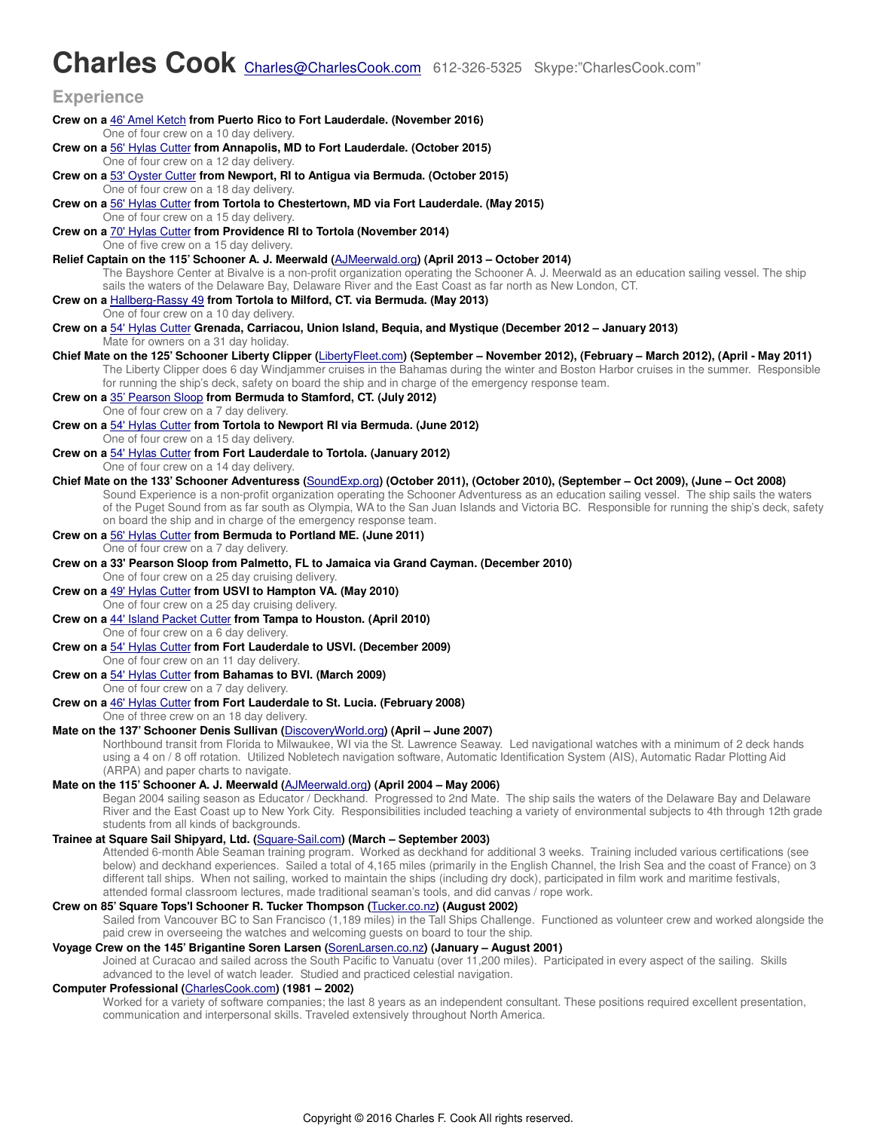# **Charles Cook** Charles@CharlesCook.com 612-326-5325 Skype:"CharlesCook.com"

#### **Experience Crew on a** [46' Amel Ketch](http://boativated.com/?p=1141) **from Puerto Rico to Fort Lauderdale. (November 2016)**  One of four crew on a 10 day delivery. **Crew on a** [56' Hylas Cutter](http://www.hylasyachtsusa.com/) **from Annapolis, MD to Fort Lauderdale. (October 2015)**  One of four crew on a 12 day delivery. **Crew on a** [53' Oyster Cutter](http://www.hylasyachtsusa.com/) **from Newport, RI to Antigua via Bermuda. (October 2015)**  One of four crew on a 18 day delivery. **Crew on a** [56' Hylas Cutter](http://www.hylasyachtsusa.com/) **from Tortola to Chestertown, MD via Fort Lauderdale. (May 2015)**  One of four crew on a 15 day delivery. **Crew on a** [70' Hylas Cutter](http://www.hylasyachtsusa.com/) **from Providence RI to Tortola (November 2014)**  One of five crew on a 15 day delivery. **Relief Captain on the 115' Schooner A. J. Meerwald (**[AJMeerwald.org](http://ajmeerwald.org/)**) (April 2013 – October 2014)**  The Bayshore Center at Bivalve is a non-profit organization operating the Schooner A. J. Meerwald as an education sailing vessel. The ship sails the waters of the Delaware Bay, Delaware River and the East Coast as far north as New London, CT. **Crew on a** [Hallberg-Rassy 49](http://www.hallberg-rassy.com/hr49/hr49.shtml) **from Tortola to Milford, CT. via Bermuda. (May 2013)**  One of four crew on a 10 day delivery. **Crew on a** [54' Hylas Cutter](http://www.hylasyachtsusa.com/) **Grenada, Carriacou, Union Island, Bequia, and Mystique (December 2012 – January 2013)**  Mate for owners on a 31 day holiday. **Chief Mate on the 125' Schooner Liberty Clipper (**[LibertyFleet.com](http://www.libertyfleet.com/)**) (September – November 2012), (February – March 2012), (April - May 2011)**  The Liberty Clipper does 6 day Windjammer cruises in the Bahamas during the winter and Boston Harbor cruises in the summer. Responsible for running the ship's deck, safety on board the ship and in charge of the emergency response team. **Crew on a** [35' Pearson Sloop](http://www.pearson35.com/) **from Bermuda to Stamford, CT. (July 2012)**  One of four crew on a 7 day delivery. **Crew on a** [54' Hylas Cutter](http://www.hylasyachtsusa.com/) **from Tortola to Newport RI via Bermuda. (June 2012)**  One of four crew on a 15 day delivery. **Crew on a** [54' Hylas Cutter](http://www.hylasyachtsusa.com/) **from Fort Lauderdale to Tortola. (January 2012)**  One of four crew on a 14 day delivery. **Chief Mate on the 133' Schooner Adventuress (**[SoundExp.org](http://soundexp.org/)**) (October 2011), (October 2010), (September – Oct 2009), (June – Oct 2008)**  Sound Experience is a non-profit organization operating the Schooner Adventuress as an education sailing vessel. The ship sails the waters of the Puget Sound from as far south as Olympia, WA to the San Juan Islands and Victoria BC. Responsible for running the ship's deck, safety on board the ship and in charge of the emergency response team. **Crew on a** [56' Hylas Cutter](http://www.hylasyachtsusa.com/h56.html) **from Bermuda to Portland ME. (June 2011)**  One of four crew on a 7 day delivery. **Crew on a 33' Pearson Sloop from Palmetto, FL to Jamaica via Grand Cayman. (December 2010)**  One of four crew on a 25 day cruising delivery. **Crew on a** [49' Hylas Cutter](http://www.hylasyachtsusa.com/h49.html) **from USVI to Hampton VA. (May 2010)**  One of four crew on a 25 day cruising delivery. **Crew on a** [44' Island Packet Cutter](http://www.ipy.com/) **from Tampa to Houston. (April 2010)**  One of four crew on a 6 day delivery. **Crew on a** [54' Hylas Cutter](http://www.hylasyachtsusa.com/) **from Fort Lauderdale to USVI. (December 2009)**  One of four crew on an 11 day delivery. **Crew on a** [54' Hylas Cutter](http://www.hylasyachtsusa.com/) **from Bahamas to BVI. (March 2009)**  One of four crew on a 7 day delivery. **Crew on a** [46' Hylas Cutter](http://www.hylasyachtsusa.com/h46.html) **from Fort Lauderdale to St. Lucia. (February 2008)** One of three crew on an 18 day delivery. **1 Mate on the 137' Schooner Denis Sullivan (**[DiscoveryWorld.org](http://www.discoveryworld.org/)**) (April – June 2007)**  Northbound transit from Florida to Milwaukee, WI via the St. Lawrence Seaway. Led navigational watches with a minimum of 2 deck hands using a 4 on / 8 off rotation. Utilized Nobletech navigation software, Automatic Identification System (AIS), Automatic Radar Plotting Aid (ARPA) and paper charts to navigate. **Mate on the 115' Schooner A. J. Meerwald (**[AJMeerwald.org](http://ajmeerwald.org/)**) (April 2004 – May 2006)**  Began 2004 sailing season as Educator / Deckhand. Progressed to 2nd Mate. The ship sails the waters of the Delaware Bay and Delaware River and the East Coast up to New York City. Responsibilities included teaching a variety of environmental subjects to 4th through 12th grade students from all kinds of backgrounds. **Trainee at Square Sail Shipyard, Ltd. (**[Square-Sail.com](http://square-sail.com/seamanship_training/index.html)**) (March – September 2003)**  Attended 6-month Able Seaman training program. Worked as deckhand for additional 3 weeks. Training included various certifications (see below) and deckhand experiences. Sailed a total of 4,165 miles (primarily in the English Channel, the Irish Sea and the coast of France) on 3 different tall ships. When not sailing, worked to maintain the ships (including dry dock), participated in film work and maritime festivals, attended formal classroom lectures, made traditional seaman's tools, and did canvas / rope work. **Crew on 85' Square Tops'l Schooner R. Tucker Thompson (**[Tucker.co.nz](http://tucker.co.nz/)**) (August 2002)**  Sailed from Vancouver BC to San Francisco (1,189 miles) in the Tall Ships Challenge. Functioned as volunteer crew and worked alongside the paid crew in overseeing the watches and welcoming guests on board to tour the ship. **Voyage Crew on the 145' Brigantine Soren Larsen (**[SorenLarsen.co.nz](http://sorenlarsen.co.nz/)**) (January – August 2001)**  Joined at Curacao and sailed across the South Pacific to Vanuatu (over 11,200 miles). Participated in every aspect of the sailing. Skills advanced to the level of watch leader. Studied and practiced celestial navigation. **Computer Professional (**[CharlesCook.com](http://charlescook.com/)**) (1981 – 2002)**  Worked for a variety of software companies; the last 8 years as an independent consultant. These positions required excellent presentation, communication and interpersonal skills. Traveled extensively throughout North America.